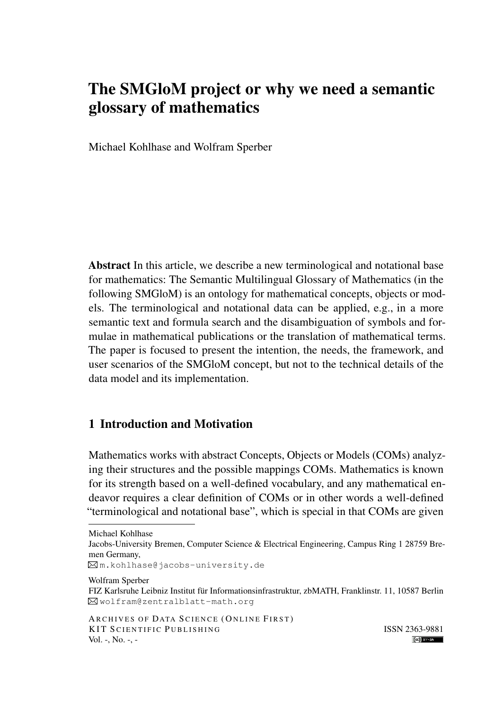# The SMGloM project or why we need a semantic glossary of mathematics

Michael Kohlhase and Wolfram Sperber

Abstract In this article, we describe a new terminological and notational base for mathematics: The Semantic Multilingual Glossary of Mathematics (in the following SMGloM) is an ontology for mathematical concepts, objects or models. The terminological and notational data can be applied, e.g., in a more semantic text and formula search and the disambiguation of symbols and formulae in mathematical publications or the translation of mathematical terms. The paper is focused to present the intention, the needs, the framework, and user scenarios of the SMGloM concept, but not to the technical details of the data model and its implementation.

## 1 Introduction and Motivation

Mathematics works with abstract Concepts, Objects or Models (COMs) analyzing their structures and the possible mappings COMs. Mathematics is known for its strength based on a well-defined vocabulary, and any mathematical endeavor requires a clear definition of COMs or in other words a well-defined "terminological and notational base", which is special in that COMs are given

Michael Kohlhase

Jacobs-University Bremen, Computer Science & Electrical Engineering, Campus Ring 1 28759 Bremen Germany,

 $\boxtimes$ m.kohlhase@jacobs-university.de

Wolfram Sperber

FIZ Karlsruhe Leibniz Institut für Informationsinfrastruktur, zbMATH, Franklinstr. 11, 10587 Berlin wolfram@zentralblatt-math.org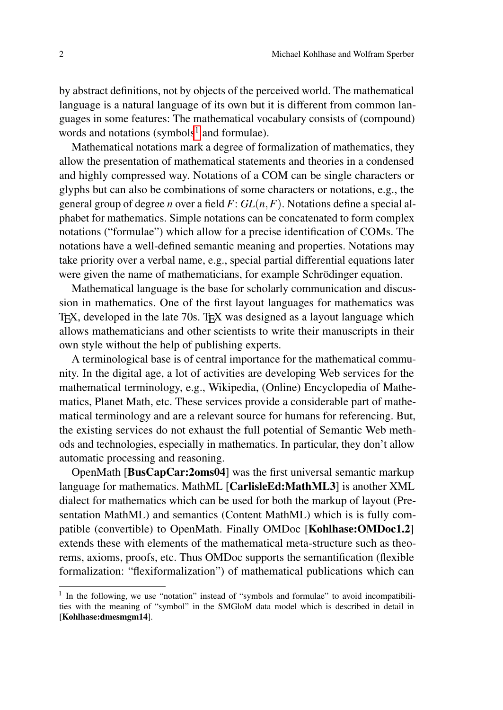by abstract definitions, not by objects of the perceived world. The mathematical language is a natural language of its own but it is different from common languages in some features: The mathematical vocabulary consists of (compound) words and notations (symbols $<sup>1</sup>$  $<sup>1</sup>$  $<sup>1</sup>$  and formulae).</sup>

Mathematical notations mark a degree of formalization of mathematics, they allow the presentation of mathematical statements and theories in a condensed and highly compressed way. Notations of a COM can be single characters or glyphs but can also be combinations of some characters or notations, e.g., the general group of degree *n* over a field *F*: *GL*(*n*,*F*). Notations define a special alphabet for mathematics. Simple notations can be concatenated to form complex notations ("formulae") which allow for a precise identification of COMs. The notations have a well-defined semantic meaning and properties. Notations may take priority over a verbal name, e.g., special partial differential equations later were given the name of mathematicians, for example Schrödinger equation.

Mathematical language is the base for scholarly communication and discussion in mathematics. One of the first layout languages for mathematics was T<sub>EX</sub>, developed in the late 70s. T<sub>EX</sub> was designed as a layout language which allows mathematicians and other scientists to write their manuscripts in their own style without the help of publishing experts.

A terminological base is of central importance for the mathematical community. In the digital age, a lot of activities are developing Web services for the mathematical terminology, e.g., Wikipedia, (Online) Encyclopedia of Mathematics, Planet Math, etc. These services provide a considerable part of mathematical terminology and are a relevant source for humans for referencing. But, the existing services do not exhaust the full potential of Semantic Web methods and technologies, especially in mathematics. In particular, they don't allow automatic processing and reasoning.

OpenMath [BusCapCar:2oms04] was the first universal semantic markup language for mathematics. MathML [CarlisleEd:MathML3] is another XML dialect for mathematics which can be used for both the markup of layout (Presentation MathML) and semantics (Content MathML) which is is fully compatible (convertible) to OpenMath. Finally OMDoc [Kohlhase:OMDoc1.2] extends these with elements of the mathematical meta-structure such as theorems, axioms, proofs, etc. Thus OMDoc supports the semantification (flexible formalization: "flexiformalization") of mathematical publications which can

<span id="page-1-0"></span><sup>&</sup>lt;sup>1</sup> In the following, we use "notation" instead of "symbols and formulae" to avoid incompatibilities with the meaning of "symbol" in the SMGloM data model which is described in detail in [Kohlhase:dmesmgm14].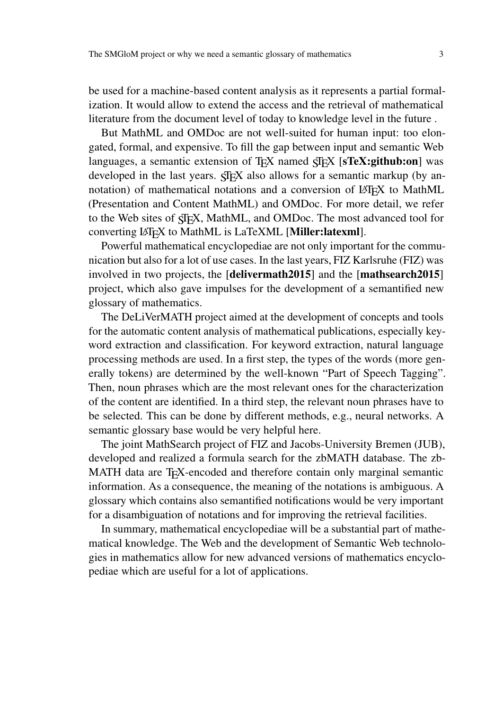be used for a machine-based content analysis as it represents a partial formalization. It would allow to extend the access and the retrieval of mathematical literature from the document level of today to knowledge level in the future .

But MathML and OMDoc are not well-suited for human input: too elongated, formal, and expensive. To fill the gap between input and semantic Web languages, a semantic extension of T<sub>E</sub>X named  $\langle$ F<sub>EX</sub> [sTeX:github:on] was developed in the last years.  $\langle \text{Tr} X \rangle$  also allows for a semantic markup (by annotation) of mathematical notations and a conversion of LATEX to MathML (Presentation and Content MathML) and OMDoc. For more detail, we refer to the Web sites of  $\overline{SFR}$ , MathML, and OMDoc. The most advanced tool for converting LATEX to MathML is LaTeXML [Miller:latexml].

Powerful mathematical encyclopediae are not only important for the communication but also for a lot of use cases. In the last years, FIZ Karlsruhe (FIZ) was involved in two projects, the [delivermath2015] and the [mathsearch2015] project, which also gave impulses for the development of a semantified new glossary of mathematics.

The DeLiVerMATH project aimed at the development of concepts and tools for the automatic content analysis of mathematical publications, especially keyword extraction and classification. For keyword extraction, natural language processing methods are used. In a first step, the types of the words (more generally tokens) are determined by the well-known "Part of Speech Tagging". Then, noun phrases which are the most relevant ones for the characterization of the content are identified. In a third step, the relevant noun phrases have to be selected. This can be done by different methods, e.g., neural networks. A semantic glossary base would be very helpful here.

The joint MathSearch project of FIZ and Jacobs-University Bremen (JUB), developed and realized a formula search for the zbMATH database. The zb-MATH data are T<sub>E</sub>X-encoded and therefore contain only marginal semantic information. As a consequence, the meaning of the notations is ambiguous. A glossary which contains also semantified notifications would be very important for a disambiguation of notations and for improving the retrieval facilities.

In summary, mathematical encyclopediae will be a substantial part of mathematical knowledge. The Web and the development of Semantic Web technologies in mathematics allow for new advanced versions of mathematics encyclopediae which are useful for a lot of applications.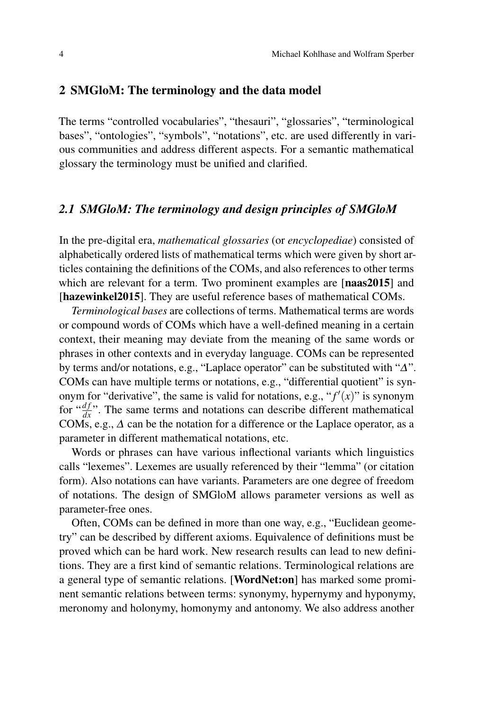### 2 SMGloM: The terminology and the data model

The terms "controlled vocabularies", "thesauri", "glossaries", "terminological bases", "ontologies", "symbols", "notations", etc. are used differently in various communities and address different aspects. For a semantic mathematical glossary the terminology must be unified and clarified.

### *2.1 SMGloM: The terminology and design principles of SMGloM*

In the pre-digital era, *mathematical glossaries* (or *encyclopediae*) consisted of alphabetically ordered lists of mathematical terms which were given by short articles containing the definitions of the COMs, and also references to other terms which are relevant for a term. Two prominent examples are [naas2015] and [hazewinkel2015]. They are useful reference bases of mathematical COMs.

*Terminological bases* are collections of terms. Mathematical terms are words or compound words of COMs which have a well-defined meaning in a certain context, their meaning may deviate from the meaning of the same words or phrases in other contexts and in everyday language. COMs can be represented by terms and/or notations, e.g., "Laplace operator" can be substituted with "∆". COMs can have multiple terms or notations, e.g., "differential quotient" is synonym for "derivative", the same is valid for notations, e.g., " $f'(x)$ " is synonym for  $\frac{df}{dx}$ . The same terms and notations can describe different mathematical COMs, e.g.,  $\Delta$  can be the notation for a difference or the Laplace operator, as a parameter in different mathematical notations, etc.

Words or phrases can have various inflectional variants which linguistics calls "lexemes". Lexemes are usually referenced by their "lemma" (or citation form). Also notations can have variants. Parameters are one degree of freedom of notations. The design of SMGloM allows parameter versions as well as parameter-free ones.

Often, COMs can be defined in more than one way, e.g., "Euclidean geometry" can be described by different axioms. Equivalence of definitions must be proved which can be hard work. New research results can lead to new definitions. They are a first kind of semantic relations. Terminological relations are a general type of semantic relations. [WordNet:on] has marked some prominent semantic relations between terms: synonymy, hypernymy and hyponymy, meronomy and holonymy, homonymy and antonomy. We also address another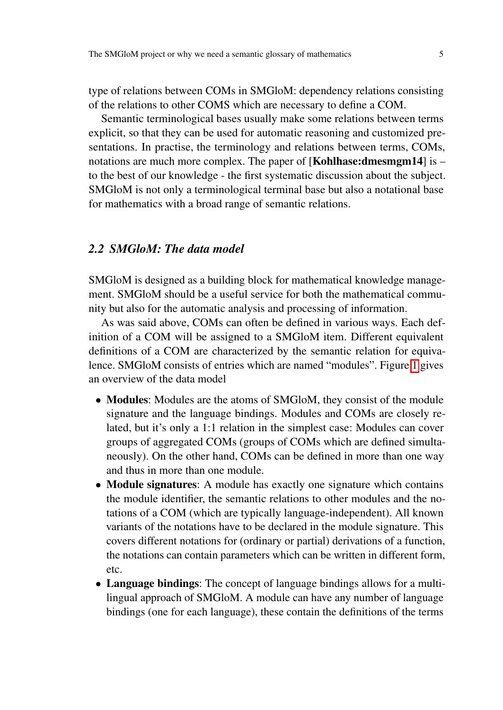type of relations between COMs in SMGloM: dependency relations consisting of the relations to other COMS which are necessary to define a COM.

Semantic terminological bases usually make some relations between terms explicit, so that they can be used for automatic reasoning and customized presentations. In practise, the terminology and relations between terms, COMs, notations are much more complex. The paper of  $[Kohlhase: dmesmgm14]$  is – to the best of our knowledge - the first systematic discussion about the subject. SMGloM is not only a terminological terminal base but also a notational base for mathematics with a broad range of semantic relations.

#### *2.2 SMGloM: The data model*

SMGloM is designed as a building block for mathematical knowledge management. SMGloM should be a useful service for both the mathematical community but also for the automatic analysis and processing of information.

As was said above, COMs can often be defined in various ways. Each definition of a COM will be assigned to a SMGloM item. Different equivalent definitions of a COM are characterized by the semantic relation for equivalence. SMGloM consists of entries which are named "modules". Figure [1](#page-5-0) gives an overview of the data model

- Modules: Modules are the atoms of SMGloM, they consist of the module signature and the language bindings. Modules and COMs are closely related, but it's only a 1:1 relation in the simplest case: Modules can cover groups of aggregated COMs (groups of COMs which are defined simultaneously). On the other hand, COMs can be defined in more than one way and thus in more than one module.
- Module signatures: A module has exactly one signature which contains the module identifier, the semantic relations to other modules and the notations of a COM (which are typically language-independent). All known variants of the notations have to be declared in the module signature. This covers different notations for (ordinary or partial) derivations of a function, the notations can contain parameters which can be written in different form, etc.
- Language bindings: The concept of language bindings allows for a multilingual approach of SMGloM. A module can have any number of language bindings (one for each language), these contain the definitions of the terms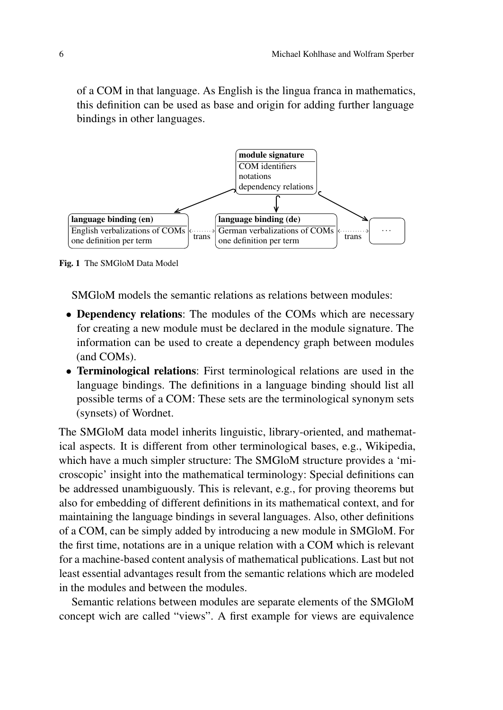of a COM in that language. As English is the lingua franca in mathematics, this definition can be used as base and origin for adding further language bindings in other languages.



<span id="page-5-0"></span>Fig. 1 The SMGloM Data Model

SMGloM models the semantic relations as relations between modules:

- Dependency relations: The modules of the COMs which are necessary for creating a new module must be declared in the module signature. The information can be used to create a dependency graph between modules (and COMs).
- Terminological relations: First terminological relations are used in the language bindings. The definitions in a language binding should list all possible terms of a COM: These sets are the terminological synonym sets (synsets) of Wordnet.

The SMGloM data model inherits linguistic, library-oriented, and mathematical aspects. It is different from other terminological bases, e.g., Wikipedia, which have a much simpler structure: The SMGloM structure provides a 'microscopic' insight into the mathematical terminology: Special definitions can be addressed unambiguously. This is relevant, e.g., for proving theorems but also for embedding of different definitions in its mathematical context, and for maintaining the language bindings in several languages. Also, other definitions of a COM, can be simply added by introducing a new module in SMGloM. For the first time, notations are in a unique relation with a COM which is relevant for a machine-based content analysis of mathematical publications. Last but not least essential advantages result from the semantic relations which are modeled in the modules and between the modules.

Semantic relations between modules are separate elements of the SMGloM concept wich are called "views". A first example for views are equivalence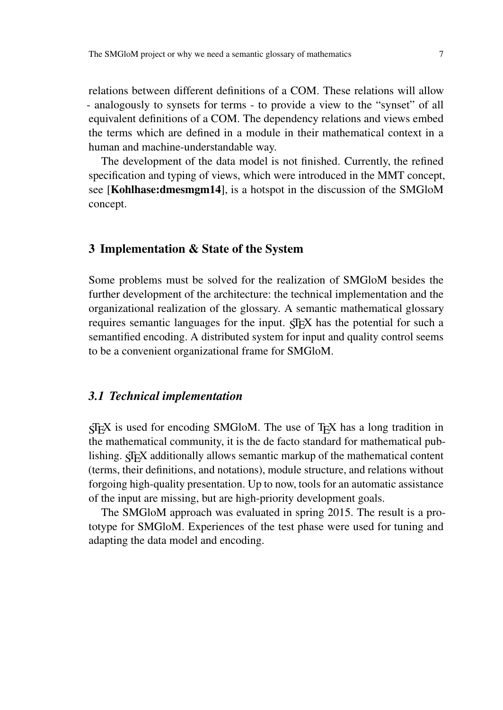relations between different definitions of a COM. These relations will allow - analogously to synsets for terms - to provide a view to the "synset" of all equivalent definitions of a COM. The dependency relations and views embed the terms which are defined in a module in their mathematical context in a human and machine-understandable way.

The development of the data model is not finished. Currently, the refined specification and typing of views, which were introduced in the MMT concept, see [Kohlhase:dmesmgm14], is a hotspot in the discussion of the SMGloM concept.

#### 3 Implementation & State of the System

Some problems must be solved for the realization of SMGloM besides the further development of the architecture: the technical implementation and the organizational realization of the glossary. A semantic mathematical glossary requires semantic languages for the input.  $\langle \text{Tr} X \rangle$  has the potential for such a semantified encoding. A distributed system for input and quality control seems to be a convenient organizational frame for SMGloM.

#### *3.1 Technical implementation*

 $SIFX$  is used for encoding SMGloM. The use of  $TFX$  has a long tradition in the mathematical community, it is the de facto standard for mathematical publishing.  $\frac{1}{2}$  additionally allows semantic markup of the mathematical content (terms, their definitions, and notations), module structure, and relations without forgoing high-quality presentation. Up to now, tools for an automatic assistance of the input are missing, but are high-priority development goals.

The SMGloM approach was evaluated in spring 2015. The result is a prototype for SMGloM. Experiences of the test phase were used for tuning and adapting the data model and encoding.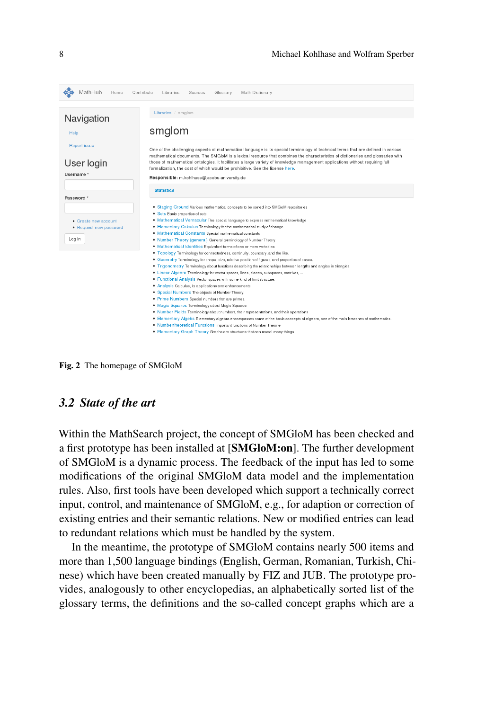| MathHub<br>Home                                          | Contribute<br>Math Dictionary<br>Libraries<br>Sources<br>Glossary                                                                                                                                                                                                                                                                                                                                                                                                                                                                             |  |  |
|----------------------------------------------------------|-----------------------------------------------------------------------------------------------------------------------------------------------------------------------------------------------------------------------------------------------------------------------------------------------------------------------------------------------------------------------------------------------------------------------------------------------------------------------------------------------------------------------------------------------|--|--|
|                                                          | Libraries / smglom                                                                                                                                                                                                                                                                                                                                                                                                                                                                                                                            |  |  |
| Navigation<br>Help                                       | smglom<br>One of the challenging aspects of mathematical language is its special terminology of technical terms that are defined in various<br>mathematical documents. The SMGIoM is a lexical resource that combines the characteristics of dictionaries and glossaries with<br>those of mathematical ontologies. It facilitates a large variety of knowledge management applications without requiring full<br>formalization, the cost of which would be prohibitive. See the license here.<br>Responsible: m.kohlhase@jacobs-university.de |  |  |
| Report issue<br>User login<br>Username *                 |                                                                                                                                                                                                                                                                                                                                                                                                                                                                                                                                               |  |  |
|                                                          | <b>Statistics</b>                                                                                                                                                                                                                                                                                                                                                                                                                                                                                                                             |  |  |
| Password *                                               | • Staging Ground Various mathematical concepts to be sorted into SMGloM repositories<br>• Sets Basic properties of sets                                                                                                                                                                                                                                                                                                                                                                                                                       |  |  |
| • Create new account<br>• Request new password<br>Log in | . Mathematical Vernacular The special language to express mathematical knowledge<br>• Elementary Calculus Terminology for the mathematical study of change.<br>· Mathematical Constants Special mathematical constants<br>. Number Theory (general) General terminology of Number Theory<br>. Mathematical Identities Equivalent terms of one or more variables                                                                                                                                                                               |  |  |
|                                                          | . Topology Terminology for connectedness, continuity, boundary, and the like.<br>. Geometry Terminology for shape, size, relative position of figures, and properties of space.<br>. Trigonometry Terminology about functions describing the relationships between lengths and angles in triangles.<br>• Linear Algebra Terminology for vector spaces, lines, planes, subspaces, matrixes,<br>. Functional Analysis Vector spaces with some kind of limit structure.                                                                          |  |  |
|                                                          | • Analysis Calculus, its applications and enhancements<br>• Special Numbers The objects of Number Theory.<br>• Prime Numbers Special numbers that are primes.<br>· Magic Squares Terminology about Magic Squares<br>. Number Fields Terminology about numbers, their representations, and their operations                                                                                                                                                                                                                                    |  |  |
|                                                          | . Elementary Algeba Elementary algebra encompasses some of the basic concepts of algebra, one of the main branches of mathematics.<br>. Numbertheoretical Functions Important functions of Number Theorie<br>• Elementary Graph Theory Graphs are structures that can model many things                                                                                                                                                                                                                                                       |  |  |

<span id="page-7-0"></span>Fig. 2 The homepage of SMGloM

#### *3.2 State of the art*

Within the MathSearch project, the concept of SMGloM has been checked and a first prototype has been installed at [SMGloM:on]. The further development of SMGloM is a dynamic process. The feedback of the input has led to some modifications of the original SMGloM data model and the implementation rules. Also, first tools have been developed which support a technically correct input, control, and maintenance of SMGloM, e.g., for adaption or correction of existing entries and their semantic relations. New or modified entries can lead to redundant relations which must be handled by the system.

In the meantime, the prototype of SMGloM contains nearly 500 items and more than 1,500 language bindings (English, German, Romanian, Turkish, Chinese) which have been created manually by FIZ and JUB. The prototype provides, analogously to other encyclopedias, an alphabetically sorted list of the glossary terms, the definitions and the so-called concept graphs which are a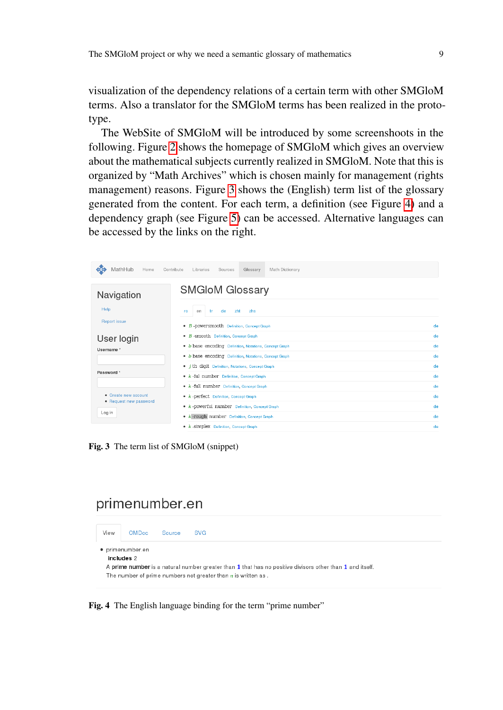visualization of the dependency relations of a certain term with other SMGloM terms. Also a translator for the SMGloM terms has been realized in the prototype.

The WebSite of SMGloM will be introduced by some screenshoots in the following. Figure [2](#page-7-0) shows the homepage of SMGloM which gives an overview about the mathematical subjects currently realized in SMGloM. Note that this is organized by "Math Archives" which is chosen mainly for management (rights management) reasons. Figure [3](#page-8-0) shows the (English) term list of the glossary generated from the content. For each term, a definition (see Figure [4\)](#page-8-1) and a dependency graph (see Figure [5\)](#page-9-0) can be accessed. Alternative languages can be accessed by the links on the right.

| MathHub<br>Home                                | Contribute<br>Math Dictionary<br>Libraries<br>Sources<br>Glossary |    |
|------------------------------------------------|-------------------------------------------------------------------|----|
| Navigation                                     | <b>SMGIOM Glossary</b>                                            |    |
| Help<br>Report issue                           | <b>zht</b><br>zhs<br>-tr<br>de<br>en<br>ro                        |    |
|                                                | • B-powersmooth Definition, Concept Graph                         | de |
| User login<br>Username *                       | • B - SMOOth Definition, Concept Graph                            | de |
|                                                | . b base encoding Definition, Notations, Concept Graph            | de |
|                                                | • b base encoding Definition, Notations, Concept Graph            | de |
|                                                | • <i>i</i> th digit Definition, Notations, Concept Graph          | de |
| Password *                                     | • k-ful number Definition, Concept Graph                          | de |
|                                                | • k -full number Definition, Concept Graph                        | de |
| • Create new account<br>• Request new password | • k -perfect Definition, Concept Graph                            | de |
| Log in                                         | • k-powerful number Definition, Concept Graph                     | de |
|                                                | • k-rough number Definition, Concept Graph                        | de |
|                                                | • k -simplex Definition, Concept Graph                            | de |

<span id="page-8-0"></span>Fig. 3 The term list of SMGloM (snippet)

# primenumber.en

| View                                                                                                            | OMDoc | Source | <b>SVG</b> |  |  |  |
|-----------------------------------------------------------------------------------------------------------------|-------|--------|------------|--|--|--|
| · primenumber.en<br>includes 2                                                                                  |       |        |            |  |  |  |
|                                                                                                                 |       |        |            |  |  |  |
| A <b>prime number</b> is a natural number greater than 1 that has no positive divisors other than 1 and itself. |       |        |            |  |  |  |
| The number of prime numbers not greater than $n$ is written as.                                                 |       |        |            |  |  |  |
|                                                                                                                 |       |        |            |  |  |  |

<span id="page-8-1"></span>Fig. 4 The English language binding for the term "prime number"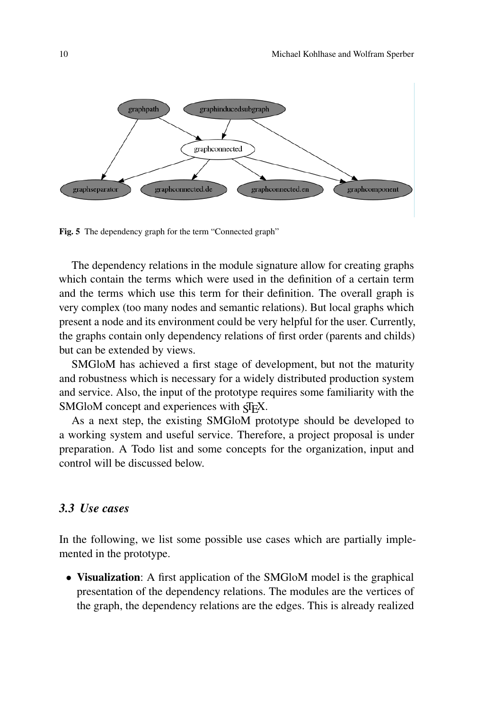

<span id="page-9-0"></span>Fig. 5 The dependency graph for the term "Connected graph"

The dependency relations in the module signature allow for creating graphs which contain the terms which were used in the definition of a certain term and the terms which use this term for their definition. The overall graph is very complex (too many nodes and semantic relations). But local graphs which present a node and its environment could be very helpful for the user. Currently, the graphs contain only dependency relations of first order (parents and childs) but can be extended by views.

SMGloM has achieved a first stage of development, but not the maturity and robustness which is necessary for a widely distributed production system and service. Also, the input of the prototype requires some familiarity with the SMGloM concept and experiences with  $\langle \text{Tr} X \rangle$ .

As a next step, the existing SMGloM prototype should be developed to a working system and useful service. Therefore, a project proposal is under preparation. A Todo list and some concepts for the organization, input and control will be discussed below.

### *3.3 Use cases*

In the following, we list some possible use cases which are partially implemented in the prototype.

• Visualization: A first application of the SMGloM model is the graphical presentation of the dependency relations. The modules are the vertices of the graph, the dependency relations are the edges. This is already realized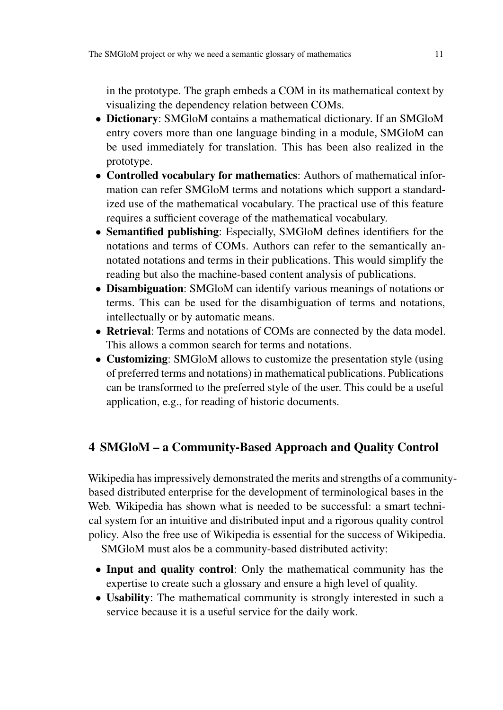in the prototype. The graph embeds a COM in its mathematical context by visualizing the dependency relation between COMs.

- Dictionary: SMGloM contains a mathematical dictionary. If an SMGloM entry covers more than one language binding in a module, SMGloM can be used immediately for translation. This has been also realized in the prototype.
- Controlled vocabulary for mathematics: Authors of mathematical information can refer SMGloM terms and notations which support a standardized use of the mathematical vocabulary. The practical use of this feature requires a sufficient coverage of the mathematical vocabulary.
- Semantified publishing: Especially, SMGloM defines identifiers for the notations and terms of COMs. Authors can refer to the semantically annotated notations and terms in their publications. This would simplify the reading but also the machine-based content analysis of publications.
- Disambiguation: SMGloM can identify various meanings of notations or terms. This can be used for the disambiguation of terms and notations, intellectually or by automatic means.
- Retrieval: Terms and notations of COMs are connected by the data model. This allows a common search for terms and notations.
- Customizing: SMGloM allows to customize the presentation style (using of preferred terms and notations) in mathematical publications. Publications can be transformed to the preferred style of the user. This could be a useful application, e.g., for reading of historic documents.

## 4 SMGloM – a Community-Based Approach and Quality Control

Wikipedia has impressively demonstrated the merits and strengths of a communitybased distributed enterprise for the development of terminological bases in the Web. Wikipedia has shown what is needed to be successful: a smart technical system for an intuitive and distributed input and a rigorous quality control policy. Also the free use of Wikipedia is essential for the success of Wikipedia.

SMGloM must alos be a community-based distributed activity:

- Input and quality control: Only the mathematical community has the expertise to create such a glossary and ensure a high level of quality.
- Usability: The mathematical community is strongly interested in such a service because it is a useful service for the daily work.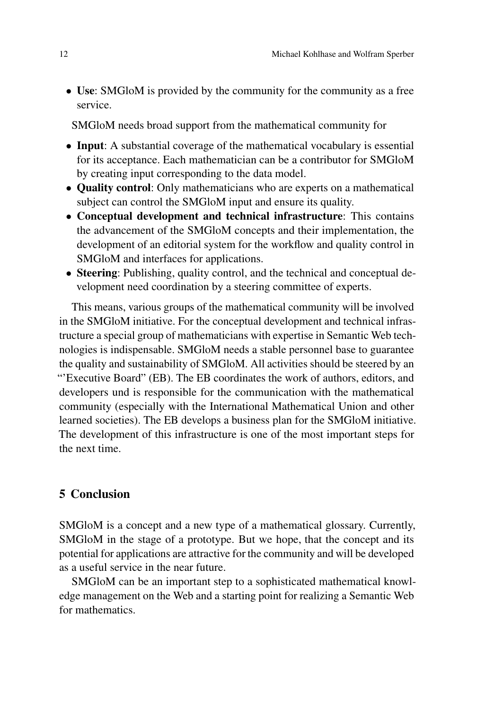• Use: SMGloM is provided by the community for the community as a free service.

SMGloM needs broad support from the mathematical community for

- Input: A substantial coverage of the mathematical vocabulary is essential for its acceptance. Each mathematician can be a contributor for SMGloM by creating input corresponding to the data model.
- Quality control: Only mathematicians who are experts on a mathematical subject can control the SMGloM input and ensure its quality.
- Conceptual development and technical infrastructure: This contains the advancement of the SMGloM concepts and their implementation, the development of an editorial system for the workflow and quality control in SMGloM and interfaces for applications.
- Steering: Publishing, quality control, and the technical and conceptual development need coordination by a steering committee of experts.

This means, various groups of the mathematical community will be involved in the SMGloM initiative. For the conceptual development and technical infrastructure a special group of mathematicians with expertise in Semantic Web technologies is indispensable. SMGloM needs a stable personnel base to guarantee the quality and sustainability of SMGloM. All activities should be steered by an "'Executive Board" (EB). The EB coordinates the work of authors, editors, and developers und is responsible for the communication with the mathematical community (especially with the International Mathematical Union and other learned societies). The EB develops a business plan for the SMGloM initiative. The development of this infrastructure is one of the most important steps for the next time.

### 5 Conclusion

SMGloM is a concept and a new type of a mathematical glossary. Currently, SMGloM in the stage of a prototype. But we hope, that the concept and its potential for applications are attractive for the community and will be developed as a useful service in the near future.

SMGloM can be an important step to a sophisticated mathematical knowledge management on the Web and a starting point for realizing a Semantic Web for mathematics.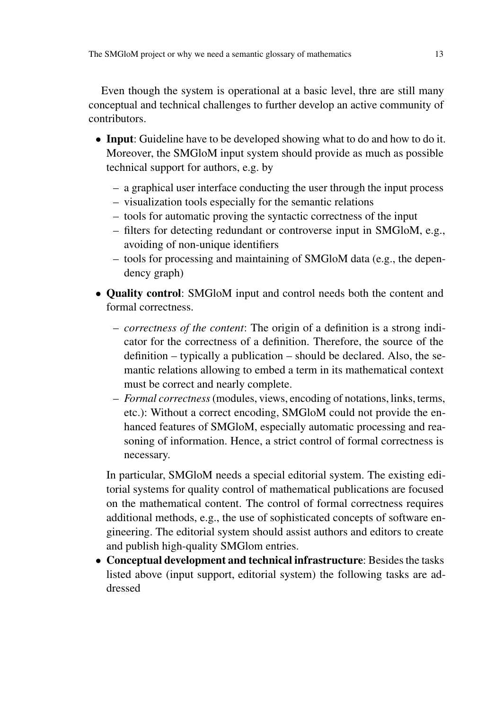Even though the system is operational at a basic level, thre are still many conceptual and technical challenges to further develop an active community of contributors.

- Input: Guideline have to be developed showing what to do and how to do it. Moreover, the SMGloM input system should provide as much as possible technical support for authors, e.g. by
	- a graphical user interface conducting the user through the input process
	- visualization tools especially for the semantic relations
	- tools for automatic proving the syntactic correctness of the input
	- filters for detecting redundant or controverse input in SMGloM, e.g., avoiding of non-unique identifiers
	- tools for processing and maintaining of SMGloM data (e.g., the dependency graph)
- Quality control: SMGloM input and control needs both the content and formal correctness.
	- *correctness of the content*: The origin of a definition is a strong indicator for the correctness of a definition. Therefore, the source of the definition – typically a publication – should be declared. Also, the semantic relations allowing to embed a term in its mathematical context must be correct and nearly complete.
	- *Formal correctness* (modules, views, encoding of notations, links, terms, etc.): Without a correct encoding, SMGloM could not provide the enhanced features of SMGloM, especially automatic processing and reasoning of information. Hence, a strict control of formal correctness is necessary.

In particular, SMGloM needs a special editorial system. The existing editorial systems for quality control of mathematical publications are focused on the mathematical content. The control of formal correctness requires additional methods, e.g., the use of sophisticated concepts of software engineering. The editorial system should assist authors and editors to create and publish high-quality SMGlom entries.

• Conceptual development and technical infrastructure: Besides the tasks listed above (input support, editorial system) the following tasks are addressed